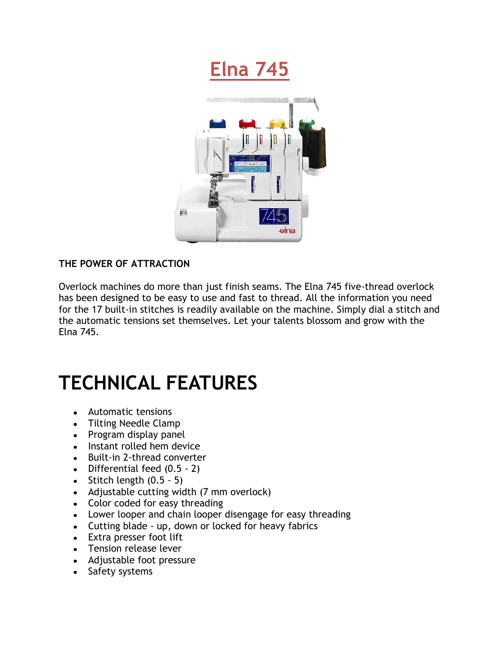



## **THE POWER OF ATTRACTION**

Overlock machines do more than just finish seams. The Elna 745 five-thread overlock has been designed to be easy to use and fast to thread. All the information you need for the 17 built-in stitches is readily available on the machine. Simply dial a stitch and the automatic tensions set themselves. Let your talents blossom and grow with the Elna 745.

## **TECHNICAL FEATURES**

- Automatic tensions
- Tilting Needle Clamp
- Program display panel
- Instant rolled hem device
- Built-in 2-thread converter
- Differential feed (0.5 2)
- $\bullet$  Stitch length  $(0.5 5)$
- Adjustable cutting width (7 mm overlock)
- Color coded for easy threading
- Lower looper and chain looper disengage for easy threading
- Cutting blade up, down or locked for heavy fabrics
- Extra presser foot lift
- Tension release lever
- Adjustable foot pressure
- Safety systems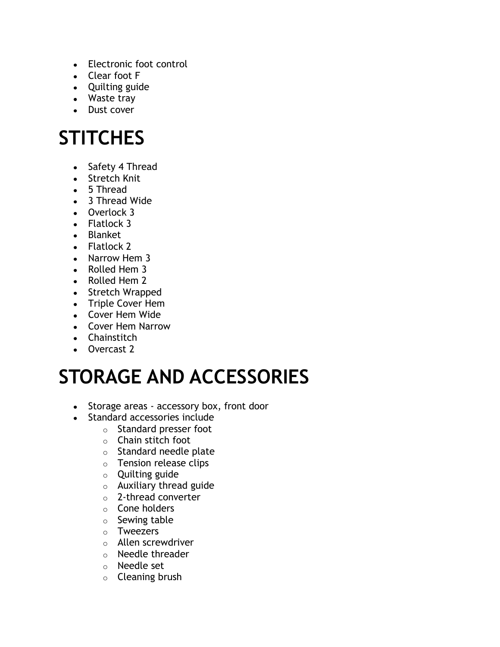- Electronic foot control
- Clear foot F
- Quilting guide
- Waste tray
- Dust cover

## **STITCHES**

- Safety 4 Thread
- Stretch Knit
- 5 Thread
- 3 Thread Wide
- Overlock 3
- Flatlock 3
- Blanket
- Flatlock 2
- Narrow Hem 3
- Rolled Hem 3
- Rolled Hem 2
- Stretch Wrapped
- Triple Cover Hem
- Cover Hem Wide
- Cover Hem Narrow
- Chainstitch
- Overcast 2

## **STORAGE AND ACCESSORIES**

- Storage areas accessory box, front door
- Standard accessories include
	- o Standard presser foot
	- o Chain stitch foot
	- o Standard needle plate
	- o Tension release clips
	- o Quilting guide
	- $\circ$  Auxiliary thread guide
	- o 2-thread converter
	- o Cone holders
	- o Sewing table
	- o Tweezers
	- o Allen screwdriver
	- o Needle threader
	- o Needle set
	- o Cleaning brush